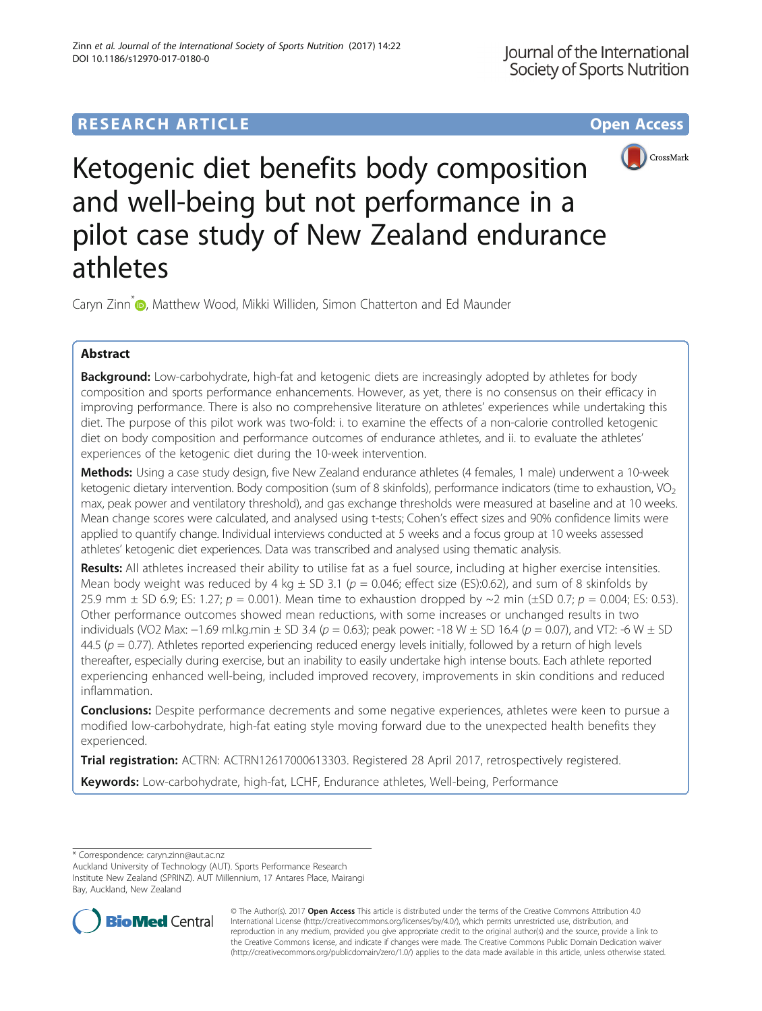# **RESEARCH ARTICLE Example 2014 12:30 The Contract of Contract ACCESS**



Ketogenic diet benefits body composition and well-being but not performance in a pilot case study of New Zealand endurance athletes

Caryn Zinn<sup>[\\*](http://orcid.org/0000-0001-6185-7663)</sup> **D**, Matthew Wood, Mikki Williden, Simon Chatterton and Ed Maunder

## Abstract

Background: Low-carbohydrate, high-fat and ketogenic diets are increasingly adopted by athletes for body composition and sports performance enhancements. However, as yet, there is no consensus on their efficacy in improving performance. There is also no comprehensive literature on athletes' experiences while undertaking this diet. The purpose of this pilot work was two-fold: i. to examine the effects of a non-calorie controlled ketogenic diet on body composition and performance outcomes of endurance athletes, and ii. to evaluate the athletes' experiences of the ketogenic diet during the 10-week intervention.

Methods: Using a case study design, five New Zealand endurance athletes (4 females, 1 male) underwent a 10-week ketogenic dietary intervention. Body composition (sum of 8 skinfolds), performance indicators (time to exhaustion, VO<sub>2</sub> max, peak power and ventilatory threshold), and gas exchange thresholds were measured at baseline and at 10 weeks. Mean change scores were calculated, and analysed using t-tests; Cohen's effect sizes and 90% confidence limits were applied to quantify change. Individual interviews conducted at 5 weeks and a focus group at 10 weeks assessed athletes' ketogenic diet experiences. Data was transcribed and analysed using thematic analysis.

Results: All athletes increased their ability to utilise fat as a fuel source, including at higher exercise intensities. Mean body weight was reduced by 4 kg  $\pm$  SD 3.1 ( $p = 0.046$ ; effect size (ES):0.62), and sum of 8 skinfolds by 25.9 mm  $\pm$  SD 6.9; ES: 1.27;  $p = 0.001$ ). Mean time to exhaustion dropped by ~2 min ( $\pm$ SD 0.7;  $p = 0.004$ ; ES: 0.53). Other performance outcomes showed mean reductions, with some increases or unchanged results in two individuals (VO2 Max: −1.69 ml.kg.min  $\pm$  SD 3.4 (p = 0.63); peak power: -18 W  $\pm$  SD 16.4 (p = 0.07), and VT2: -6 W  $\pm$  SD  $44.5$  ( $p = 0.77$ ). Athletes reported experiencing reduced energy levels initially, followed by a return of high levels thereafter, especially during exercise, but an inability to easily undertake high intense bouts. Each athlete reported experiencing enhanced well-being, included improved recovery, improvements in skin conditions and reduced inflammation.

**Conclusions:** Despite performance decrements and some negative experiences, athletes were keen to pursue a modified low-carbohydrate, high-fat eating style moving forward due to the unexpected health benefits they experienced.

Trial registration: ACTRN: [ACTRN12617000613303](https://www.anzctr.org.au/Trial/Registration/TrialReview.aspx?id=372783). Registered 28 April 2017, retrospectively registered.

Keywords: Low-carbohydrate, high-fat, LCHF, Endurance athletes, Well-being, Performance

\* Correspondence: [caryn.zinn@aut.ac.nz](mailto:caryn.zinn@aut.ac.nz)

Auckland University of Technology (AUT). Sports Performance Research Institute New Zealand (SPRINZ). AUT Millennium, 17 Antares Place, Mairangi Bay, Auckland, New Zealand



© The Author(s). 2017 **Open Access** This article is distributed under the terms of the Creative Commons Attribution 4.0 International License [\(http://creativecommons.org/licenses/by/4.0/](http://creativecommons.org/licenses/by/4.0/)), which permits unrestricted use, distribution, and reproduction in any medium, provided you give appropriate credit to the original author(s) and the source, provide a link to the Creative Commons license, and indicate if changes were made. The Creative Commons Public Domain Dedication waiver [\(http://creativecommons.org/publicdomain/zero/1.0/](http://creativecommons.org/publicdomain/zero/1.0/)) applies to the data made available in this article, unless otherwise stated.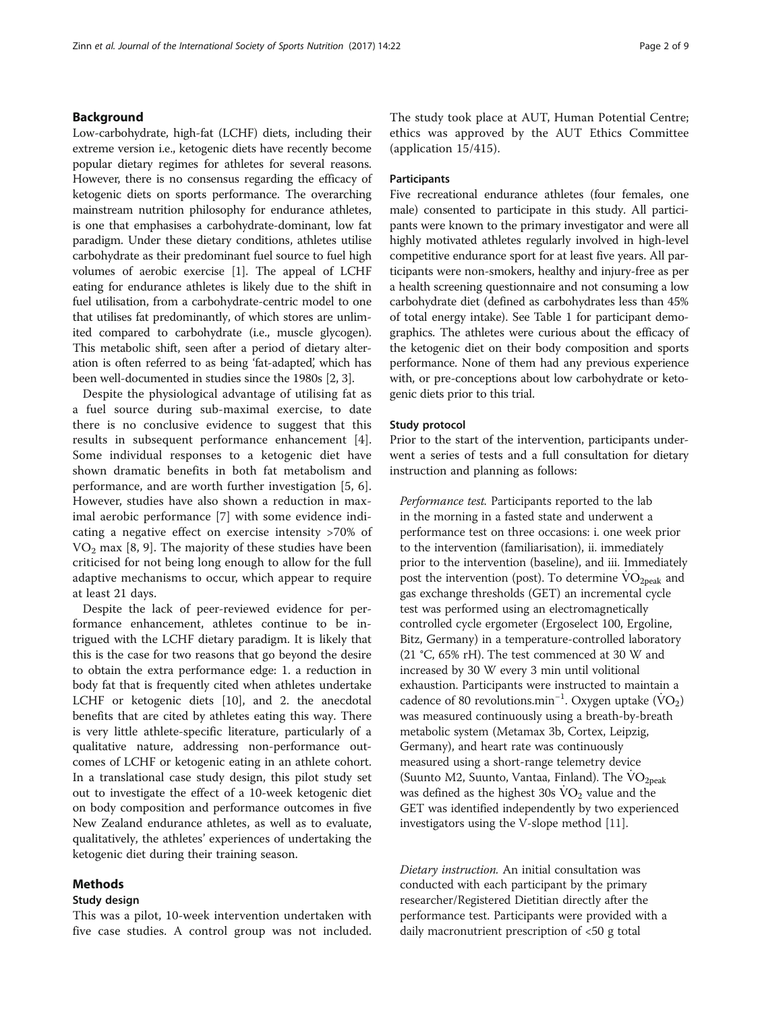## Background

Low-carbohydrate, high-fat (LCHF) diets, including their extreme version i.e., ketogenic diets have recently become popular dietary regimes for athletes for several reasons. However, there is no consensus regarding the efficacy of ketogenic diets on sports performance. The overarching mainstream nutrition philosophy for endurance athletes, is one that emphasises a carbohydrate-dominant, low fat paradigm. Under these dietary conditions, athletes utilise carbohydrate as their predominant fuel source to fuel high volumes of aerobic exercise [\[1\]](#page-8-0). The appeal of LCHF eating for endurance athletes is likely due to the shift in fuel utilisation, from a carbohydrate-centric model to one that utilises fat predominantly, of which stores are unlimited compared to carbohydrate (i.e., muscle glycogen). This metabolic shift, seen after a period of dietary alteration is often referred to as being 'fat-adapted', which has been well-documented in studies since the 1980s [[2, 3](#page-8-0)].

Despite the physiological advantage of utilising fat as a fuel source during sub-maximal exercise, to date there is no conclusive evidence to suggest that this results in subsequent performance enhancement [\[4](#page-8-0)]. Some individual responses to a ketogenic diet have shown dramatic benefits in both fat metabolism and performance, and are worth further investigation [[5, 6](#page-8-0)]. However, studies have also shown a reduction in maximal aerobic performance [[7\]](#page-8-0) with some evidence indicating a negative effect on exercise intensity >70% of  $VO<sub>2</sub>$  max [[8, 9\]](#page-8-0). The majority of these studies have been criticised for not being long enough to allow for the full adaptive mechanisms to occur, which appear to require at least 21 days.

Despite the lack of peer-reviewed evidence for performance enhancement, athletes continue to be intrigued with the LCHF dietary paradigm. It is likely that this is the case for two reasons that go beyond the desire to obtain the extra performance edge: 1. a reduction in body fat that is frequently cited when athletes undertake LCHF or ketogenic diets [[10](#page-8-0)], and 2. the anecdotal benefits that are cited by athletes eating this way. There is very little athlete-specific literature, particularly of a qualitative nature, addressing non-performance outcomes of LCHF or ketogenic eating in an athlete cohort. In a translational case study design, this pilot study set out to investigate the effect of a 10-week ketogenic diet on body composition and performance outcomes in five New Zealand endurance athletes, as well as to evaluate, qualitatively, the athletes' experiences of undertaking the ketogenic diet during their training season.

## Methods

## Study design

This was a pilot, 10-week intervention undertaken with five case studies. A control group was not included. The study took place at AUT, Human Potential Centre; ethics was approved by the AUT Ethics Committee (application 15/415).

## Participants

Five recreational endurance athletes (four females, one male) consented to participate in this study. All participants were known to the primary investigator and were all highly motivated athletes regularly involved in high-level competitive endurance sport for at least five years. All participants were non-smokers, healthy and injury-free as per a health screening questionnaire and not consuming a low carbohydrate diet (defined as carbohydrates less than 45% of total energy intake). See Table [1](#page-2-0) for participant demographics. The athletes were curious about the efficacy of the ketogenic diet on their body composition and sports performance. None of them had any previous experience with, or pre-conceptions about low carbohydrate or ketogenic diets prior to this trial.

### Study protocol

Prior to the start of the intervention, participants underwent a series of tests and a full consultation for dietary instruction and planning as follows:

Performance test. Participants reported to the lab in the morning in a fasted state and underwent a performance test on three occasions: i. one week prior to the intervention (familiarisation), ii. immediately prior to the intervention (baseline), and iii. Immediately post the intervention (post). To determine VO<sub>2peak</sub> and gas exchange thresholds (GET) an incremental cycle test was performed using an electromagnetically controlled cycle ergometer (Ergoselect 100, Ergoline, Bitz, Germany) in a temperature-controlled laboratory (21 °C, 65% rH). The test commenced at 30 W and increased by 30 W every 3 min until volitional exhaustion. Participants were instructed to maintain a cadence of 80 revolutions.min<sup>-1</sup>. Oxygen uptake ( $\rm \dot{VO}_2)$ was measured continuously using a breath-by-breath metabolic system (Metamax 3b, Cortex, Leipzig, Germany), and heart rate was continuously measured using a short-range telemetry device (Suunto M2, Suunto, Vantaa, Finland). The VO<sub>2peak</sub> was defined as the highest 30s  $\rm VO_2$  value and the GET was identified independently by two experienced investigators using the V-slope method [\[11](#page-8-0)].

Dietary instruction. An initial consultation was conducted with each participant by the primary researcher/Registered Dietitian directly after the performance test. Participants were provided with a daily macronutrient prescription of <50 g total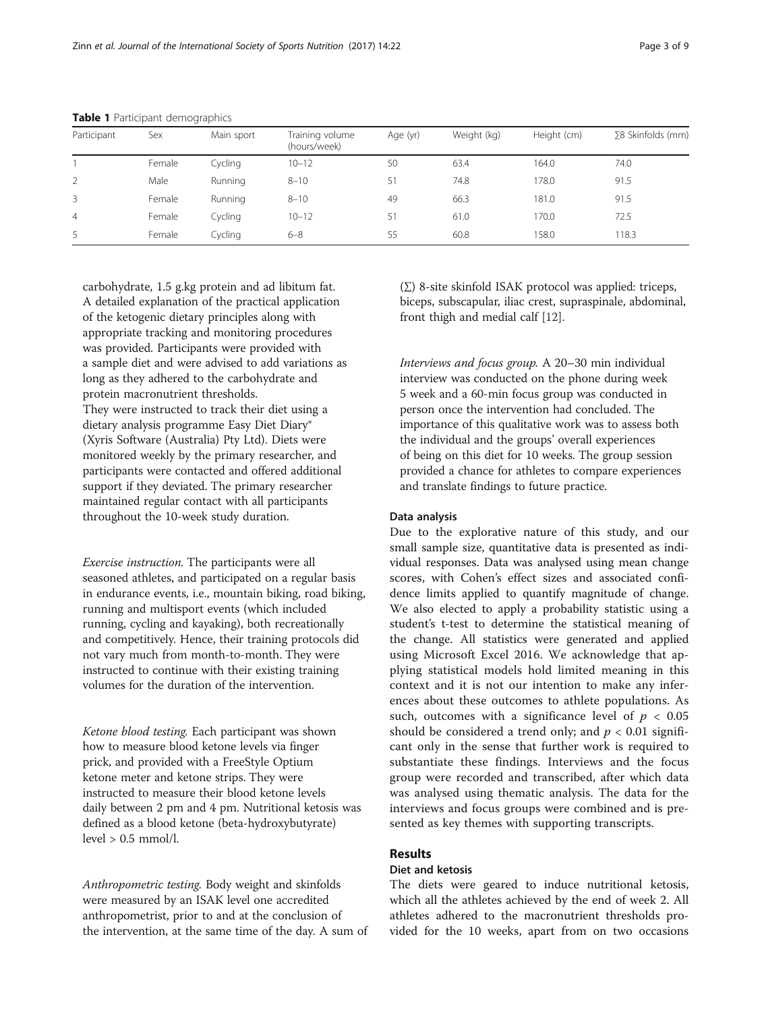| Participant    | Sex    | Main sport | Training volume<br>(hours/week) | Age (yr) | Weight (kg) | Height (cm) | <b>Σ8 Skinfolds (mm)</b> |
|----------------|--------|------------|---------------------------------|----------|-------------|-------------|--------------------------|
|                | Female | Cycling    | $10 - 12$                       | 50       | 63.4        | 164.0       | 74.0                     |
| 2              | Male   | Running    | $8 - 10$                        | 51       | 74.8        | 178.0       | 91.5                     |
| 3              | Female | Running    | $8 - 10$                        | 49       | 66.3        | 181.0       | 91.5                     |
| $\overline{4}$ | Female | Cycling    | $10 - 12$                       | 51       | 61.0        | 170.0       | 72.5                     |
| 5              | Female | Cycling    | $6 - 8$                         | 55       | 60.8        | 158.0       | 118.3                    |

<span id="page-2-0"></span>Table 1 Participant demographics

carbohydrate, 1.5 g.kg protein and ad libitum fat. A detailed explanation of the practical application of the ketogenic dietary principles along with appropriate tracking and monitoring procedures was provided. Participants were provided with a sample diet and were advised to add variations as long as they adhered to the carbohydrate and protein macronutrient thresholds. They were instructed to track their diet using a dietary analysis programme Easy Diet Diary® (Xyris Software (Australia) Pty Ltd). Diets were monitored weekly by the primary researcher, and participants were contacted and offered additional support if they deviated. The primary researcher maintained regular contact with all participants throughout the 10-week study duration.

Exercise instruction. The participants were all seasoned athletes, and participated on a regular basis in endurance events, i.e., mountain biking, road biking, running and multisport events (which included running, cycling and kayaking), both recreationally and competitively. Hence, their training protocols did not vary much from month-to-month. They were instructed to continue with their existing training volumes for the duration of the intervention.

Ketone blood testing. Each participant was shown how to measure blood ketone levels via finger prick, and provided with a FreeStyle Optium ketone meter and ketone strips. They were instructed to measure their blood ketone levels daily between 2 pm and 4 pm. Nutritional ketosis was defined as a blood ketone (beta-hydroxybutyrate)  $level > 0.5$  mmol/l.

Anthropometric testing. Body weight and skinfolds were measured by an ISAK level one accredited anthropometrist, prior to and at the conclusion of the intervention, at the same time of the day. A sum of

(∑) 8-site skinfold ISAK protocol was applied: triceps, biceps, subscapular, iliac crest, supraspinale, abdominal, front thigh and medial calf [[12](#page-8-0)].

Interviews and focus group. A 20–30 min individual interview was conducted on the phone during week 5 week and a 60-min focus group was conducted in person once the intervention had concluded. The importance of this qualitative work was to assess both the individual and the groups' overall experiences of being on this diet for 10 weeks. The group session provided a chance for athletes to compare experiences and translate findings to future practice.

## Data analysis

Due to the explorative nature of this study, and our small sample size, quantitative data is presented as individual responses. Data was analysed using mean change scores, with Cohen's effect sizes and associated confidence limits applied to quantify magnitude of change. We also elected to apply a probability statistic using a student's t-test to determine the statistical meaning of the change. All statistics were generated and applied using Microsoft Excel 2016. We acknowledge that applying statistical models hold limited meaning in this context and it is not our intention to make any inferences about these outcomes to athlete populations. As such, outcomes with a significance level of  $p < 0.05$ should be considered a trend only; and  $p < 0.01$  significant only in the sense that further work is required to substantiate these findings. Interviews and the focus group were recorded and transcribed, after which data was analysed using thematic analysis. The data for the interviews and focus groups were combined and is presented as key themes with supporting transcripts.

## Results

## Diet and ketosis

The diets were geared to induce nutritional ketosis, which all the athletes achieved by the end of week 2. All athletes adhered to the macronutrient thresholds provided for the 10 weeks, apart from on two occasions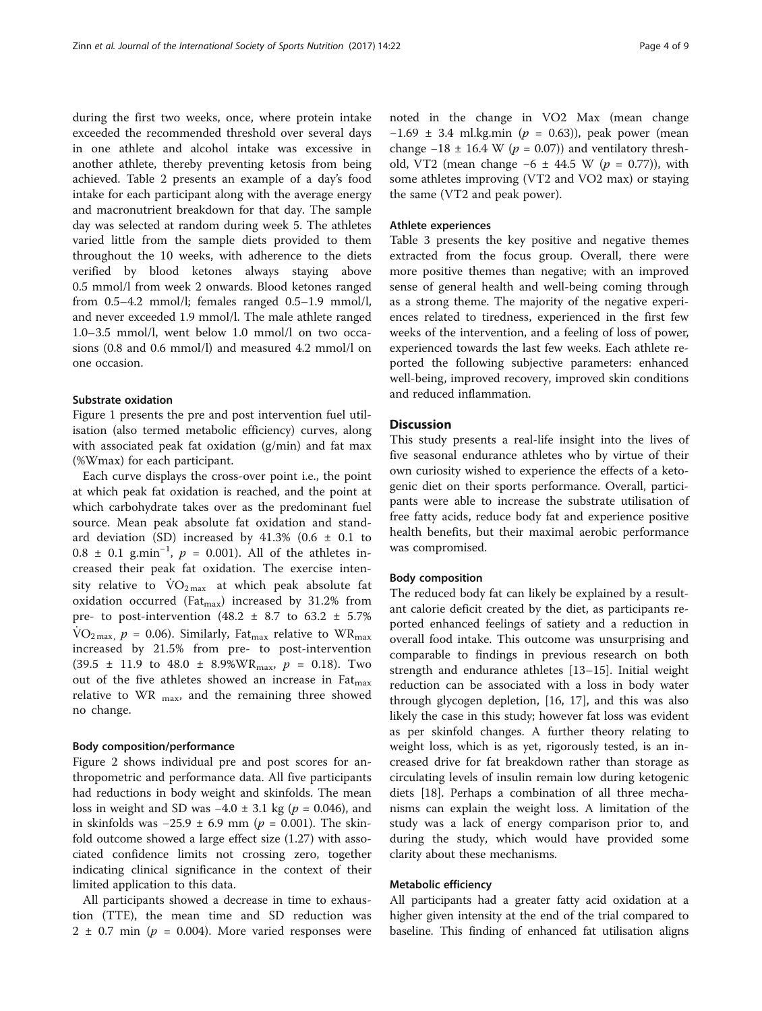during the first two weeks, once, where protein intake exceeded the recommended threshold over several days in one athlete and alcohol intake was excessive in another athlete, thereby preventing ketosis from being achieved. Table [2](#page-4-0) presents an example of a day's food intake for each participant along with the average energy and macronutrient breakdown for that day. The sample day was selected at random during week 5. The athletes varied little from the sample diets provided to them throughout the 10 weeks, with adherence to the diets verified by blood ketones always staying above 0.5 mmol/l from week 2 onwards. Blood ketones ranged from 0.5–4.2 mmol/l; females ranged 0.5–1.9 mmol/l, and never exceeded 1.9 mmol/l. The male athlete ranged 1.0–3.5 mmol/l, went below 1.0 mmol/l on two occasions (0.8 and 0.6 mmol/l) and measured 4.2 mmol/l on one occasion.

#### Substrate oxidation

Figure [1](#page-5-0) presents the pre and post intervention fuel utilisation (also termed metabolic efficiency) curves, along with associated peak fat oxidation (g/min) and fat max (%Wmax) for each participant.

Each curve displays the cross-over point i.e., the point at which peak fat oxidation is reached, and the point at which carbohydrate takes over as the predominant fuel source. Mean peak absolute fat oxidation and standard deviation (SD) increased by  $41.3\%$  (0.6  $\pm$  0.1 to  $0.8 \pm 0.1$  g.min<sup>-1</sup>,  $p = 0.001$ ). All of the athletes increased their peak fat oxidation. The exercise intensity relative to  $\overline{VO}_{2\text{ max}}$  at which peak absolute fat oxidation occurred (Fat $_{\text{max}}$ ) increased by 31.2% from pre- to post-intervention  $(48.2 \pm 8.7)$  to  $63.2 \pm 5.7\%$  $\text{VO}_{2\,\text{max}}$ ,  $p = 0.06$ . Similarly, Fat<sub>max</sub> relative to WR<sub>max</sub> increased by 21.5% from pre- to post-intervention  $(39.5 \pm 11.9 \text{ to } 48.0 \pm 8.9\% \text{WR}_{\text{max}}) p = 0.18$ . Two out of the five athletes showed an increase in Fat<sub>max</sub> relative to WR  $_{\text{max}}$ , and the remaining three showed no change.

### Body composition/performance

Figure [2](#page-6-0) shows individual pre and post scores for anthropometric and performance data. All five participants had reductions in body weight and skinfolds. The mean loss in weight and SD was  $-4.0 \pm 3.1$  kg ( $p = 0.046$ ), and in skinfolds was −25.9 ± 6.9 mm ( $p = 0.001$ ). The skinfold outcome showed a large effect size (1.27) with associated confidence limits not crossing zero, together indicating clinical significance in the context of their limited application to this data.

All participants showed a decrease in time to exhaustion (TTE), the mean time and SD reduction was  $2 \pm 0.7$  min ( $p = 0.004$ ). More varied responses were noted in the change in VO2 Max (mean change  $-1.69 \pm 3.4 \text{ ml}$ .kg.min ( $p = 0.63$ )), peak power (mean change  $-18 \pm 16.4$  W ( $p = 0.07$ )) and ventilatory threshold, VT2 (mean change −6 ± 44.5 W ( $p = 0.77$ )), with some athletes improving (VT2 and VO2 max) or staying the same (VT2 and peak power).

#### Athlete experiences

Table [3](#page-7-0) presents the key positive and negative themes extracted from the focus group. Overall, there were more positive themes than negative; with an improved sense of general health and well-being coming through as a strong theme. The majority of the negative experiences related to tiredness, experienced in the first few weeks of the intervention, and a feeling of loss of power, experienced towards the last few weeks. Each athlete reported the following subjective parameters: enhanced well-being, improved recovery, improved skin conditions and reduced inflammation.

## **Discussion**

This study presents a real-life insight into the lives of five seasonal endurance athletes who by virtue of their own curiosity wished to experience the effects of a ketogenic diet on their sports performance. Overall, participants were able to increase the substrate utilisation of free fatty acids, reduce body fat and experience positive health benefits, but their maximal aerobic performance was compromised.

#### Body composition

The reduced body fat can likely be explained by a resultant calorie deficit created by the diet, as participants reported enhanced feelings of satiety and a reduction in overall food intake. This outcome was unsurprising and comparable to findings in previous research on both strength and endurance athletes [[13](#page-8-0)–[15\]](#page-8-0). Initial weight reduction can be associated with a loss in body water through glycogen depletion, [\[16](#page-8-0), [17](#page-8-0)], and this was also likely the case in this study; however fat loss was evident as per skinfold changes. A further theory relating to weight loss, which is as yet, rigorously tested, is an increased drive for fat breakdown rather than storage as circulating levels of insulin remain low during ketogenic diets [\[18\]](#page-8-0). Perhaps a combination of all three mechanisms can explain the weight loss. A limitation of the study was a lack of energy comparison prior to, and during the study, which would have provided some clarity about these mechanisms.

## Metabolic efficiency

All participants had a greater fatty acid oxidation at a higher given intensity at the end of the trial compared to baseline. This finding of enhanced fat utilisation aligns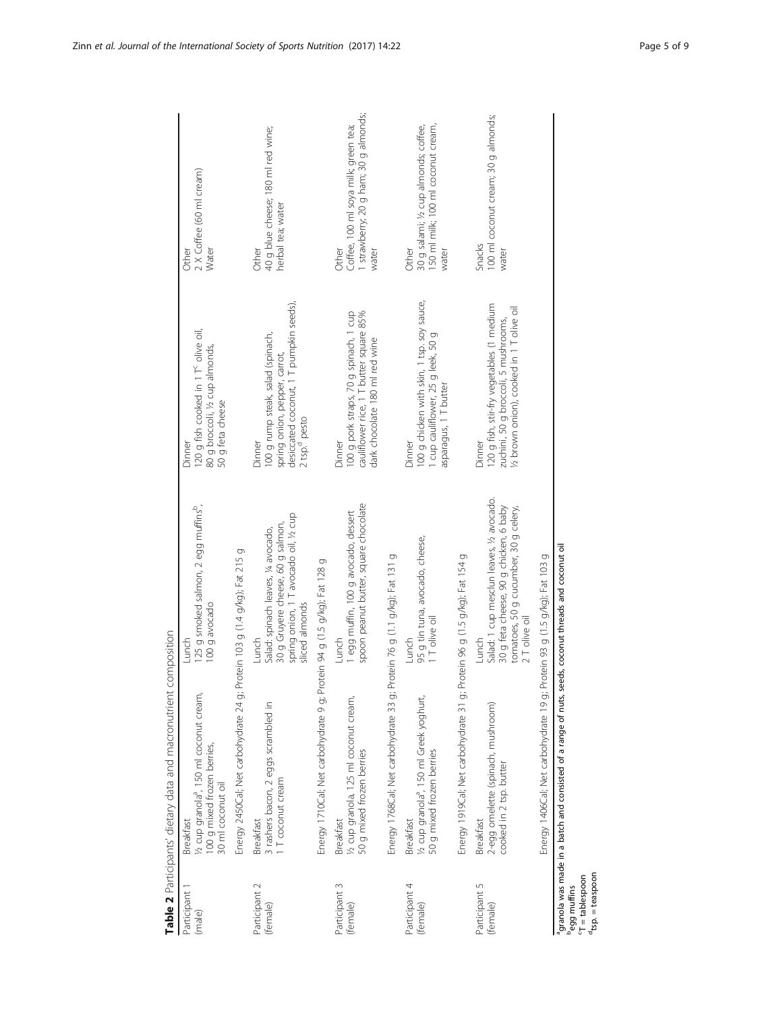<span id="page-4-0"></span>

|                                                                                | <b>I discrete 4</b> Fattuctured and discrete the control of the control of the control of the control of the control of the control of the control of the control of the control of the control of the control of the control of th |                                                                                                                                                        |                                                                                                                                                      |                                                                                                 |
|--------------------------------------------------------------------------------|-------------------------------------------------------------------------------------------------------------------------------------------------------------------------------------------------------------------------------------|--------------------------------------------------------------------------------------------------------------------------------------------------------|------------------------------------------------------------------------------------------------------------------------------------------------------|-------------------------------------------------------------------------------------------------|
| Participant<br>(male)                                                          | /2 cup granola <sup>9</sup> , 150 ml coconut cream,<br>100 g mixed frozen berries,<br>30 ml coconut oil<br>Breakfast                                                                                                                | 125 g smoked salmon, 2 egg muffins <sup>b</sup> ,<br>100 g avocado<br>Lunch                                                                            | 120 g fish cooked in 1 T <sup>c</sup> olive oil,<br>80 g broccoli, ½ cup almonds,<br>50 g feta cheese<br>Dinner                                      | 2 X Coffee (60 ml cream)<br>Water<br>Other                                                      |
|                                                                                | Energy 2450Cal; Net carbohydrate 24 g; Protein 103 g (1.4 g/kg); Fat 215 g                                                                                                                                                          |                                                                                                                                                        |                                                                                                                                                      |                                                                                                 |
| Participant 2<br>(female)                                                      | 3 rashers bacon, 2 eggs scrambled in<br>I T coconut cream<br><b>Breakfast</b>                                                                                                                                                       | spring onion, 1 T avocado oil, 1/2 cup<br>30 g Gruyere cheese, 60 g salmon,<br>Salad: spinach leaves, 14 avocado,<br>sliced almonds<br>Lunch           | desiccated coconut, 1 T pumpkin seeds),<br>100 g rump steak, salad (spinach,<br>spring onion, pepper, carrot,<br>2 tsp. <sup>d</sup> pesto<br>Dinner | 40 g blue cheese; 180 ml red wine;<br>herbal tea; water<br>Other                                |
|                                                                                | Energy 1710Cal; Net carbohydrate 9 g; Protein 94 g (1.5 g/kg); Fat 128 g                                                                                                                                                            |                                                                                                                                                        |                                                                                                                                                      |                                                                                                 |
| Participant 3<br>(female)                                                      | 1/2 cup granola, 125 ml coconut cream,<br>50 g mixed frozen berries<br>Breakfast                                                                                                                                                    | spoon peanut butter, square chocolate<br>l egg muffin, 100 g avocado, dessert<br>Lunch                                                                 | cauliflower rice, 1 T butter square 85%<br>100 g pork straps, 70 g spinach, 1 cup<br>dark chocolate 180 ml red wine<br>Dinner                        | 1 strawberry; 20 g ham; 30 g almonds;<br>Coffee, 100 ml soya milk; green tea;<br>Other<br>water |
|                                                                                | Energy 1768Cal; Net carbohydrate 33 g; Protein 76 g (1.1 g/kg); Fat 131 g                                                                                                                                                           |                                                                                                                                                        |                                                                                                                                                      |                                                                                                 |
| Participant 4<br>(female)                                                      | 1/2 cup granola <sup>9</sup> , 150 ml Greek yoghurt,<br>50 g mixed frozen berries<br>Breakfast                                                                                                                                      | 95 g tin tuna, avocado, cheese,<br>1 T olive oil<br>Lunch                                                                                              | 100 g chicken with skin, 1 tsp. soy sauce,<br>I cup cauliflower, 25 g leek, 50 g<br>asparagus, 1 T butter<br>Dinner                                  | 150 ml milk; 100 ml coconut cream,<br>30 g salami; ½ cup almonds; coffee,<br>Other<br>water     |
|                                                                                | Energy 1919Cal; Net carbohydrate 31 g; Protein 96 g (1.5 g/kg); Fat 154 g                                                                                                                                                           |                                                                                                                                                        |                                                                                                                                                      |                                                                                                 |
| Participant 5<br>(female)                                                      | 2-egg omelette (spinach, mushroom)<br>cooked in 2 tsp. butter<br>Breakfast                                                                                                                                                          | Salad: 1 cup mesclun leaves, 1/2 avocado.<br>30 g feta cheese, 90 g chicken, 6 baby<br>tomatoes, 50 g cucumber, 30 g celery,<br>2 T olive oil<br>Lunch | 120 g fish, stir-fry vegetables (1 medium<br>1/2 brown onion), cooked in 1 T olive oil<br>zuchini, 50 g broccoli, 5 mushrooms,<br>Dinner             | 100 ml coconut cream; 30 g almonds;<br>Snacks<br>water                                          |
|                                                                                | Energy 1406Cal; Net carbohydrate 19 g; Protein 93 g (1.5 g/kg); Fat 103 g                                                                                                                                                           |                                                                                                                                                        |                                                                                                                                                      |                                                                                                 |
| $d_{\text{tsp.}} = \text{teaspoon}$<br>$T = table$<br><sup>b</sup> egg muffins | <sup>3</sup> granola was made in a batch and consisted of a range of nuts, seeds, coconut threads and coconut oil                                                                                                                   |                                                                                                                                                        |                                                                                                                                                      |                                                                                                 |

composition Table 2 Participants' dietary data and macronutrient composition nutriont Ê  $\frac{1}{2}$ Table 2 Participants' dietary data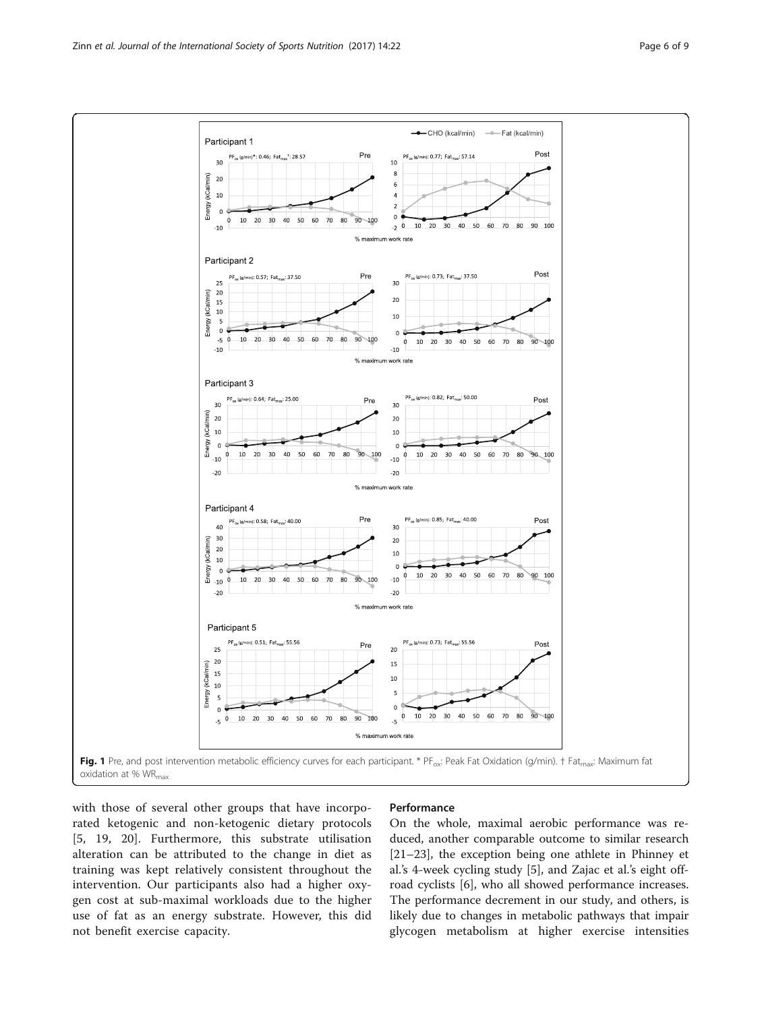<span id="page-5-0"></span>

with those of several other groups that have incorporated ketogenic and non-ketogenic dietary protocols [[5, 19, 20\]](#page-8-0). Furthermore, this substrate utilisation alteration can be attributed to the change in diet as training was kept relatively consistent throughout the intervention. Our participants also had a higher oxygen cost at sub-maximal workloads due to the higher use of fat as an energy substrate. However, this did not benefit exercise capacity.

## Performance

On the whole, maximal aerobic performance was reduced, another comparable outcome to similar research [[21](#page-8-0)–[23](#page-8-0)], the exception being one athlete in Phinney et al.'s 4-week cycling study [[5\]](#page-8-0), and Zajac et al.'s eight offroad cyclists [\[6](#page-8-0)], who all showed performance increases. The performance decrement in our study, and others, is likely due to changes in metabolic pathways that impair glycogen metabolism at higher exercise intensities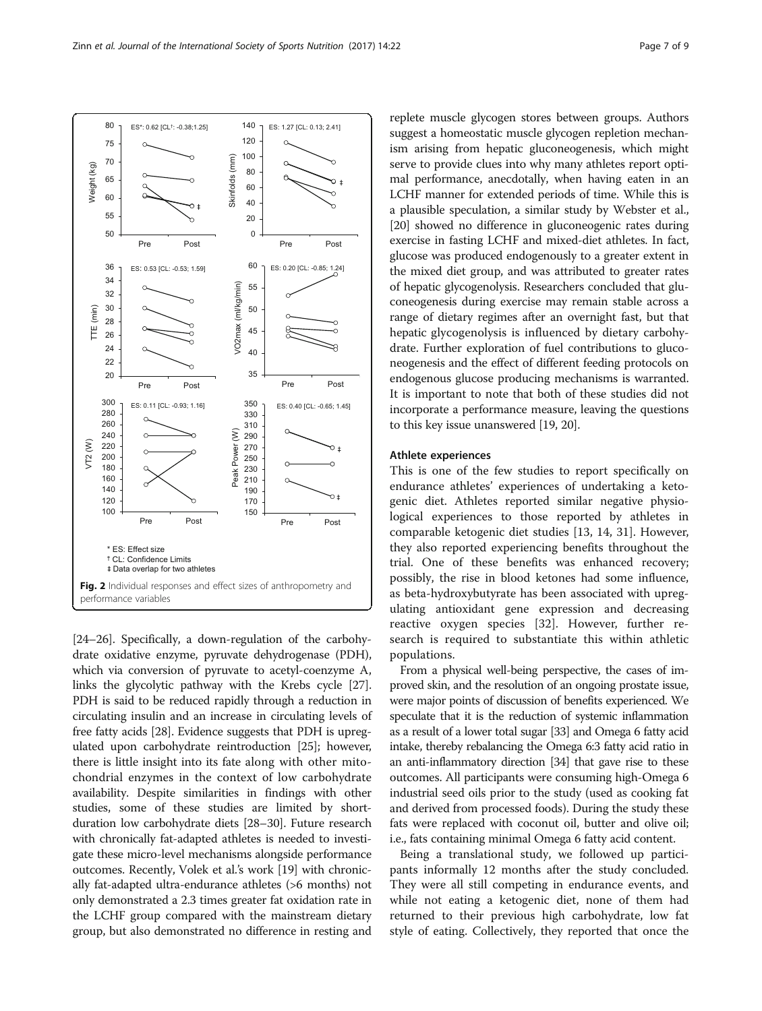<span id="page-6-0"></span>

[[24](#page-8-0)–[26\]](#page-8-0). Specifically, a down-regulation of the carbohydrate oxidative enzyme, pyruvate dehydrogenase (PDH), which via conversion of pyruvate to acetyl-coenzyme A, links the glycolytic pathway with the Krebs cycle [[27](#page-8-0)]. PDH is said to be reduced rapidly through a reduction in circulating insulin and an increase in circulating levels of free fatty acids [\[28\]](#page-8-0). Evidence suggests that PDH is upregulated upon carbohydrate reintroduction [[25](#page-8-0)]; however, there is little insight into its fate along with other mitochondrial enzymes in the context of low carbohydrate availability. Despite similarities in findings with other studies, some of these studies are limited by shortduration low carbohydrate diets [\[28](#page-8-0)–[30](#page-8-0)]. Future research with chronically fat-adapted athletes is needed to investigate these micro-level mechanisms alongside performance outcomes. Recently, Volek et al.'s work [\[19\]](#page-8-0) with chronically fat-adapted ultra-endurance athletes (>6 months) not only demonstrated a 2.3 times greater fat oxidation rate in the LCHF group compared with the mainstream dietary group, but also demonstrated no difference in resting and

replete muscle glycogen stores between groups. Authors suggest a homeostatic muscle glycogen repletion mechanism arising from hepatic gluconeogenesis, which might serve to provide clues into why many athletes report optimal performance, anecdotally, when having eaten in an LCHF manner for extended periods of time. While this is a plausible speculation, a similar study by Webster et al., [[20](#page-8-0)] showed no difference in gluconeogenic rates during exercise in fasting LCHF and mixed-diet athletes. In fact, glucose was produced endogenously to a greater extent in the mixed diet group, and was attributed to greater rates of hepatic glycogenolysis. Researchers concluded that gluconeogenesis during exercise may remain stable across a range of dietary regimes after an overnight fast, but that hepatic glycogenolysis is influenced by dietary carbohydrate. Further exploration of fuel contributions to gluconeogenesis and the effect of different feeding protocols on endogenous glucose producing mechanisms is warranted. It is important to note that both of these studies did not incorporate a performance measure, leaving the questions to this key issue unanswered [\[19](#page-8-0), [20](#page-8-0)].

#### Athlete experiences

This is one of the few studies to report specifically on endurance athletes' experiences of undertaking a ketogenic diet. Athletes reported similar negative physiological experiences to those reported by athletes in comparable ketogenic diet studies [\[13](#page-8-0), [14, 31\]](#page-8-0). However, they also reported experiencing benefits throughout the trial. One of these benefits was enhanced recovery; possibly, the rise in blood ketones had some influence, as beta-hydroxybutyrate has been associated with upregulating antioxidant gene expression and decreasing reactive oxygen species [\[32](#page-8-0)]. However, further research is required to substantiate this within athletic populations.

From a physical well-being perspective, the cases of improved skin, and the resolution of an ongoing prostate issue, were major points of discussion of benefits experienced. We speculate that it is the reduction of systemic inflammation as a result of a lower total sugar [\[33\]](#page-8-0) and Omega 6 fatty acid intake, thereby rebalancing the Omega 6:3 fatty acid ratio in an anti-inflammatory direction [\[34](#page-8-0)] that gave rise to these outcomes. All participants were consuming high-Omega 6 industrial seed oils prior to the study (used as cooking fat and derived from processed foods). During the study these fats were replaced with coconut oil, butter and olive oil; i.e., fats containing minimal Omega 6 fatty acid content.

Being a translational study, we followed up participants informally 12 months after the study concluded. They were all still competing in endurance events, and while not eating a ketogenic diet, none of them had returned to their previous high carbohydrate, low fat style of eating. Collectively, they reported that once the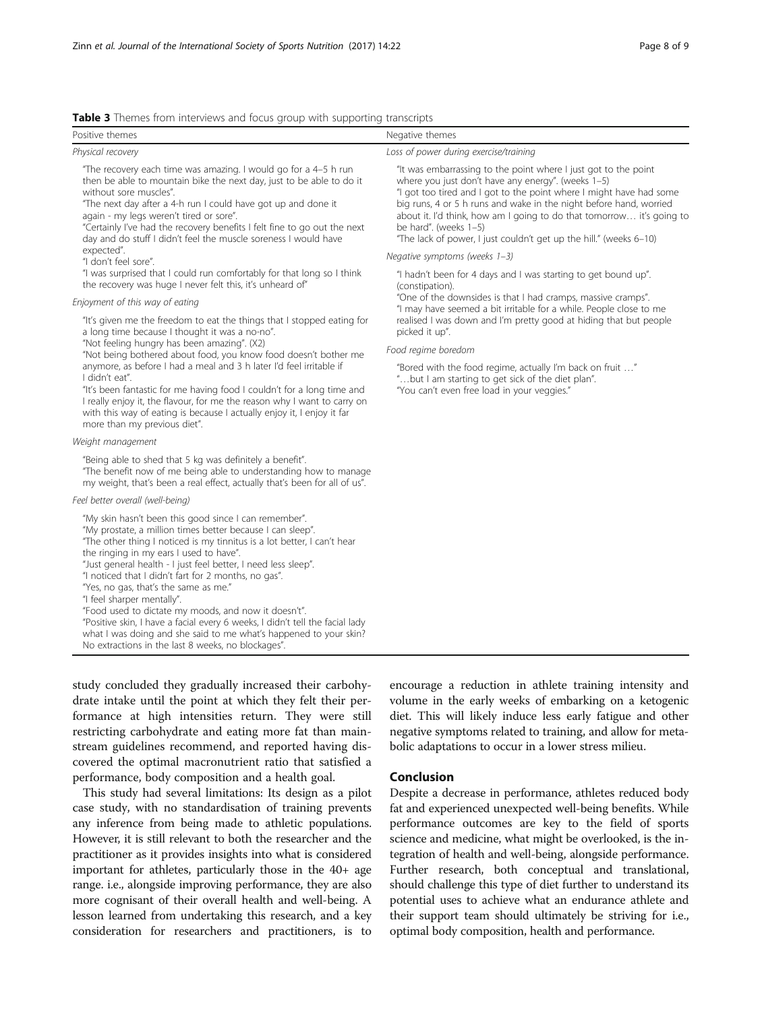<span id="page-7-0"></span>**Table 3** Themes from interviews and focus group with supporting transcripts

| Positive themes                                                                                                                                                                                                                                                                                                                                                                                                                                                                                                                                                                                                                                                                                               | Negative themes                                                                                                                                                                                                                                                                                                                                                                                                                            |  |  |  |  |
|---------------------------------------------------------------------------------------------------------------------------------------------------------------------------------------------------------------------------------------------------------------------------------------------------------------------------------------------------------------------------------------------------------------------------------------------------------------------------------------------------------------------------------------------------------------------------------------------------------------------------------------------------------------------------------------------------------------|--------------------------------------------------------------------------------------------------------------------------------------------------------------------------------------------------------------------------------------------------------------------------------------------------------------------------------------------------------------------------------------------------------------------------------------------|--|--|--|--|
| Physical recovery                                                                                                                                                                                                                                                                                                                                                                                                                                                                                                                                                                                                                                                                                             | Loss of power during exercise/training                                                                                                                                                                                                                                                                                                                                                                                                     |  |  |  |  |
| "The recovery each time was amazing. I would go for a 4-5 h run<br>then be able to mountain bike the next day, just to be able to do it<br>without sore muscles".<br>"The next day after a 4-h run I could have got up and done it<br>again - my legs weren't tired or sore".<br>"Certainly I've had the recovery benefits I felt fine to go out the next<br>day and do stuff I didn't feel the muscle soreness I would have                                                                                                                                                                                                                                                                                  | "It was embarrassing to the point where I just got to the point<br>where you just don't have any energy". (weeks 1-5)<br>"I got too tired and I got to the point where I might have had some<br>big runs, 4 or 5 h runs and wake in the night before hand, worried<br>about it. I'd think, how am I going to do that tomorrow it's going to<br>be hard". (weeks 1-5)<br>"The lack of power, I just couldn't get up the hill." (weeks 6-10) |  |  |  |  |
| expected".<br>"I don't feel sore".                                                                                                                                                                                                                                                                                                                                                                                                                                                                                                                                                                                                                                                                            | Negative symptoms (weeks 1-3)                                                                                                                                                                                                                                                                                                                                                                                                              |  |  |  |  |
| "I was surprised that I could run comfortably for that long so I think<br>the recovery was huge I never felt this, it's unheard of"                                                                                                                                                                                                                                                                                                                                                                                                                                                                                                                                                                           | "I hadn't been for 4 days and I was starting to get bound up".<br>(constipation).                                                                                                                                                                                                                                                                                                                                                          |  |  |  |  |
| Enjoyment of this way of eating                                                                                                                                                                                                                                                                                                                                                                                                                                                                                                                                                                                                                                                                               | "One of the downsides is that I had cramps, massive cramps".<br>"I may have seemed a bit irritable for a while. People close to me                                                                                                                                                                                                                                                                                                         |  |  |  |  |
| "It's given me the freedom to eat the things that I stopped eating for<br>a long time because I thought it was a no-no".                                                                                                                                                                                                                                                                                                                                                                                                                                                                                                                                                                                      | realised I was down and I'm pretty good at hiding that but people<br>picked it up".                                                                                                                                                                                                                                                                                                                                                        |  |  |  |  |
| "Not feeling hungry has been amazing". (X2)<br>"Not being bothered about food, you know food doesn't bother me                                                                                                                                                                                                                                                                                                                                                                                                                                                                                                                                                                                                | Food regime boredom                                                                                                                                                                                                                                                                                                                                                                                                                        |  |  |  |  |
| anymore, as before I had a meal and 3 h later I'd feel irritable if<br>I didn't eat".<br>"It's been fantastic for me having food I couldn't for a long time and<br>I really enjoy it, the flavour, for me the reason why I want to carry on<br>with this way of eating is because I actually enjoy it, I enjoy it far<br>more than my previous diet".                                                                                                                                                                                                                                                                                                                                                         | "Bored with the food regime, actually I'm back on fruit "<br>"but I am starting to get sick of the diet plan".<br>"You can't even free load in your veggies."                                                                                                                                                                                                                                                                              |  |  |  |  |
| Weight management                                                                                                                                                                                                                                                                                                                                                                                                                                                                                                                                                                                                                                                                                             |                                                                                                                                                                                                                                                                                                                                                                                                                                            |  |  |  |  |
| "Being able to shed that 5 kg was definitely a benefit".<br>"The benefit now of me being able to understanding how to manage<br>my weight, that's been a real effect, actually that's been for all of us".                                                                                                                                                                                                                                                                                                                                                                                                                                                                                                    |                                                                                                                                                                                                                                                                                                                                                                                                                                            |  |  |  |  |
| Feel better overall (well-being)                                                                                                                                                                                                                                                                                                                                                                                                                                                                                                                                                                                                                                                                              |                                                                                                                                                                                                                                                                                                                                                                                                                                            |  |  |  |  |
| "My skin hasn't been this good since I can remember".<br>"My prostate, a million times better because I can sleep".<br>"The other thing I noticed is my tinnitus is a lot better, I can't hear<br>the ringing in my ears I used to have".<br>"Just general health - I just feel better, I need less sleep".<br>"I noticed that I didn't fart for 2 months, no gas".<br>"Yes, no gas, that's the same as me."<br>"I feel sharper mentally".<br>"Food used to dictate my moods, and now it doesn't".<br>"Positive skin, I have a facial every 6 weeks, I didn't tell the facial lady<br>what I was doing and she said to me what's happened to your skin?<br>No extractions in the last 8 weeks, no blockages". |                                                                                                                                                                                                                                                                                                                                                                                                                                            |  |  |  |  |

study concluded they gradually increased their carbohydrate intake until the point at which they felt their performance at high intensities return. They were still restricting carbohydrate and eating more fat than mainstream guidelines recommend, and reported having discovered the optimal macronutrient ratio that satisfied a performance, body composition and a health goal.

This study had several limitations: Its design as a pilot case study, with no standardisation of training prevents any inference from being made to athletic populations. However, it is still relevant to both the researcher and the practitioner as it provides insights into what is considered important for athletes, particularly those in the 40+ age range. i.e., alongside improving performance, they are also more cognisant of their overall health and well-being. A lesson learned from undertaking this research, and a key consideration for researchers and practitioners, is to

encourage a reduction in athlete training intensity and volume in the early weeks of embarking on a ketogenic diet. This will likely induce less early fatigue and other negative symptoms related to training, and allow for metabolic adaptations to occur in a lower stress milieu.

#### Conclusion

Despite a decrease in performance, athletes reduced body fat and experienced unexpected well-being benefits. While performance outcomes are key to the field of sports science and medicine, what might be overlooked, is the integration of health and well-being, alongside performance. Further research, both conceptual and translational, should challenge this type of diet further to understand its potential uses to achieve what an endurance athlete and their support team should ultimately be striving for i.e., optimal body composition, health and performance.